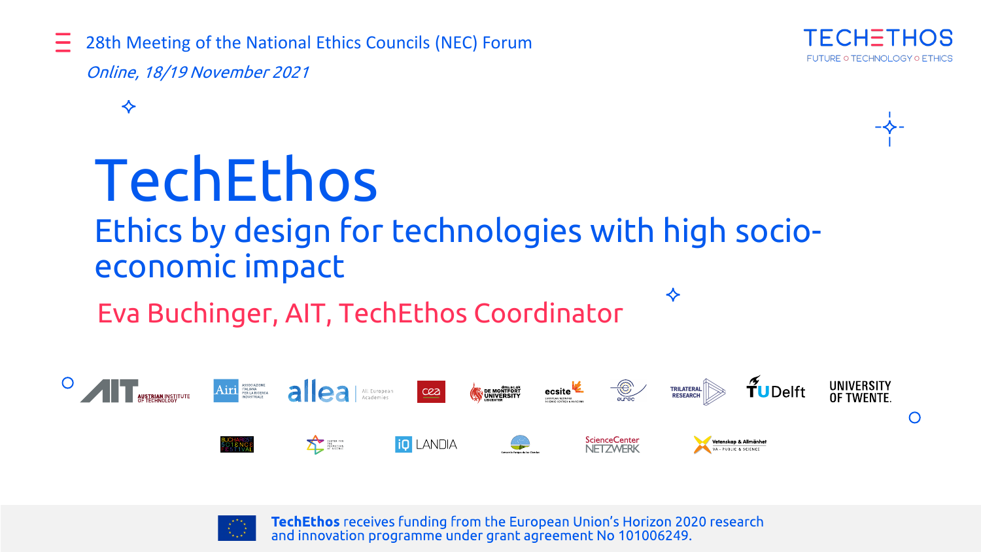28th Meeting of the National Ethics Councils (NEC) Forum





### TechEthos

#### Ethics by design for technologies with high socioeconomic impact

Eva Buchinger, AIT, TechEthos Coordinator





TechEthos receives funding from the European Union's Horizon 2020 research and innovation programme under grant agreement No 101006249.

❖

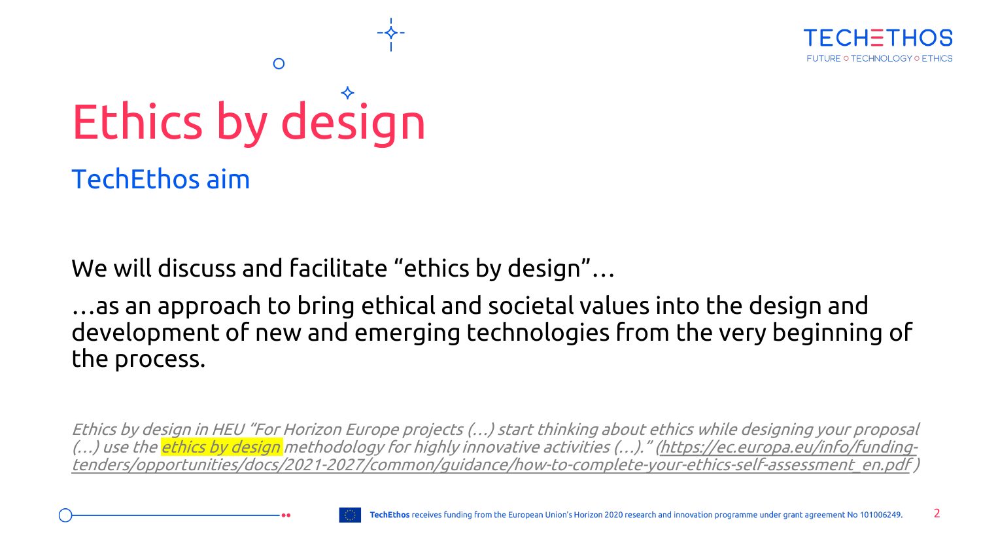

# Ethics by design

Ω

TechEthos aim

We will discuss and facilitate "ethics by design"…

…as an approach to bring ethical and societal values into the design and development of new and emerging technologies from the very beginning of the process.

Ethics by design in HEU "For Horizon Europe projects (…) start thinking about ethics while designing your proposal (…) use the <mark>ethics by design</mark> methodology for highly innovative activities (…)." <u>(https://ec.europa.eu/info/funding-</u> [tenders/opportunities/docs/2021-2027/common/guidance/how-to-complete-your-ethics-self-assessment\\_en.pdf](https://ec.europa.eu/info/funding-tenders/opportunities/docs/2021-2027/common/guidance/how-to-complete-your-ethics-self-assessment_en.pdf) )

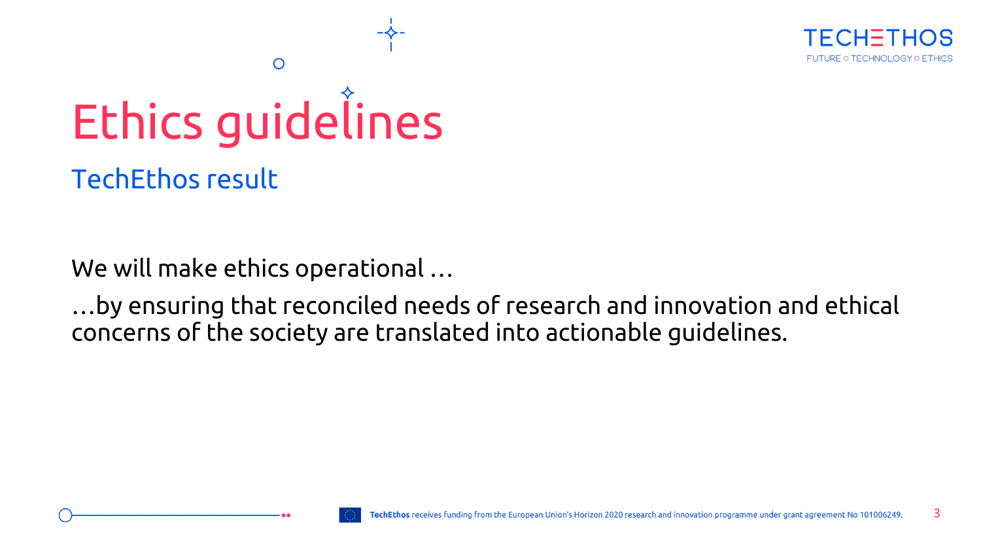

### Ethics guidelines

 $\circ$ 

TechEthos result

We will make ethics operational …

…by ensuring that reconciled needs of research and innovation and ethical concerns of the society are translated into actionable guidelines.

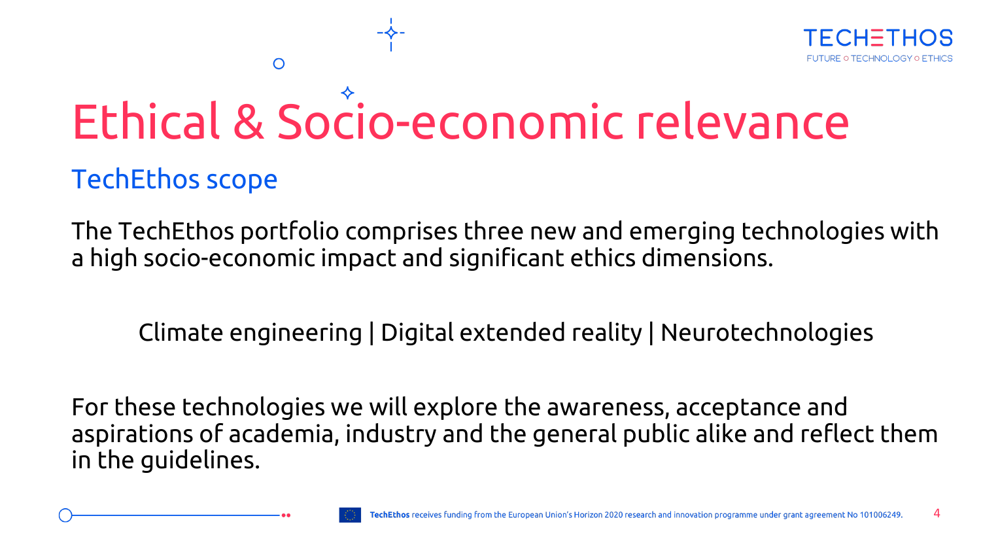

### Ethical & Socio-economic relevance

#### TechEthos scope

O

The TechEthos portfolio comprises three new and emerging technologies with a high socio-economic impact and significant ethics dimensions.

Climate engineering | Digital extended reality | Neurotechnologies

For these technologies we will explore the awareness, acceptance and aspirations of academia, industry and the general public alike and reflect them in the guidelines.

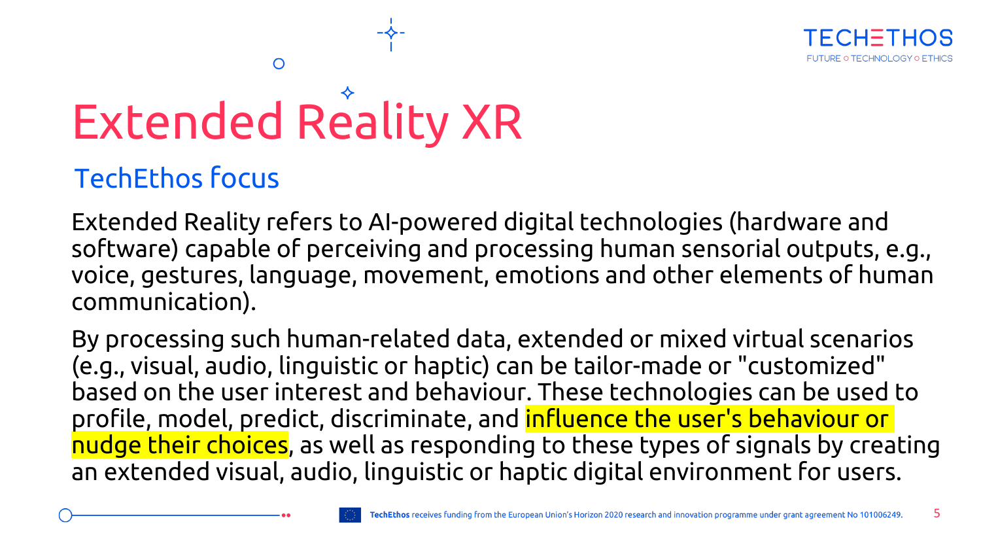

## Extended Reality XR

O

#### TechEthos focus

Extended Reality refers to AI-powered digital technologies (hardware and software) capable of perceiving and processing human sensorial outputs, e.g., voice, gestures, language, movement, emotions and other elements of human communication).

By processing such human-related data, extended or mixed virtual scenarios (e.g., visual, audio, linguistic or haptic) can be tailor-made or "customized" based on the user interest and behaviour. These technologies can be used to profile, model, predict, discriminate, and influence the user's behaviour or nudge their choices, as well as responding to these types of signals by creating an extended visual, audio, linguistic or haptic digital environment for users.

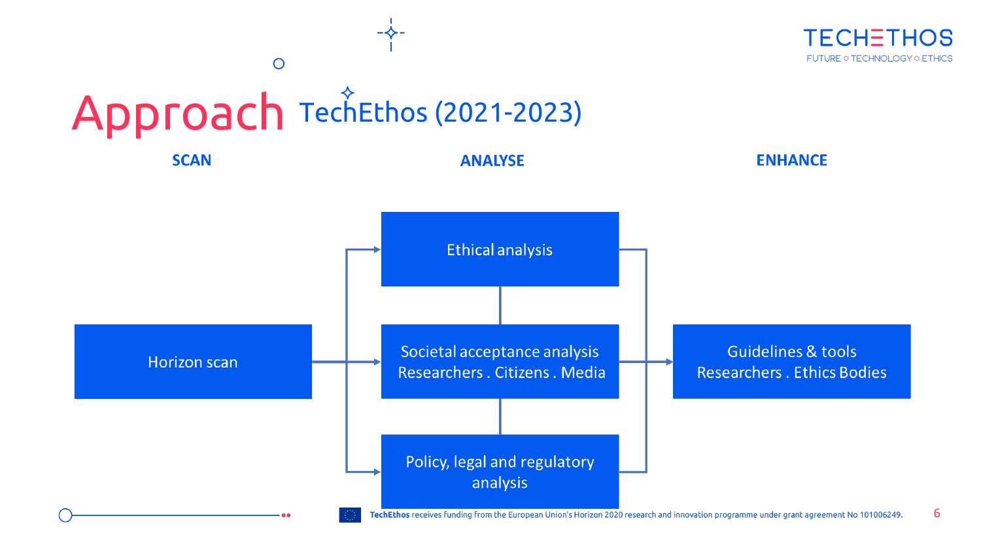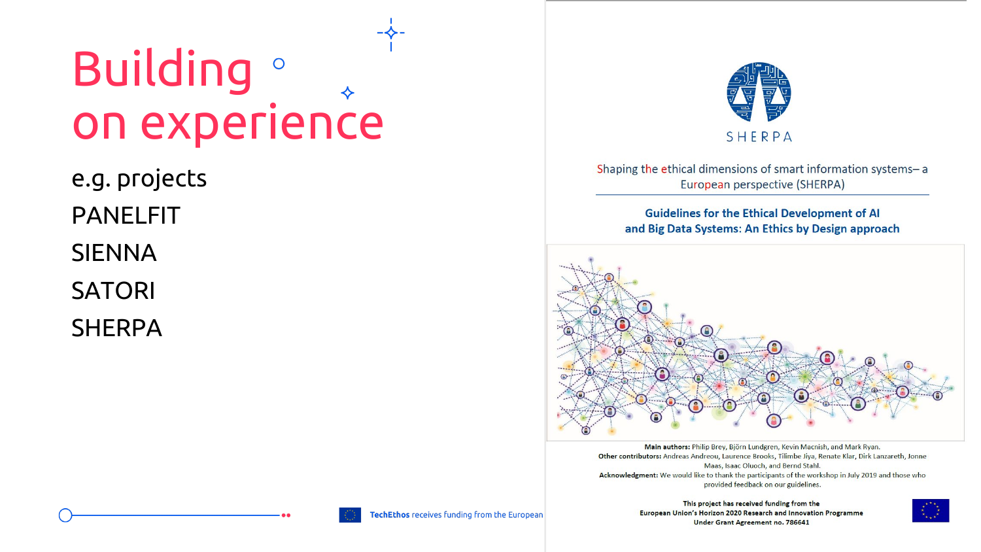#### **Building** of on experience

e.g. projects

PANELFIT

SIENNA

SATORI

SHERPA



Shaping the ethical dimensions of smart information systems-a European perspective (SHERPA)

**Guidelines for the Ethical Development of AI** and Big Data Systems: An Ethics by Design approach



Main authors: Philip Brey, Björn Lundgren, Kevin Macnish, and Mark Ryan. Other contributors: Andreas Andreou, Laurence Brooks, Tilimbe Jiya, Renate Klar, Dirk Lanzareth, Jonne Maas, Isaac Oluoch, and Bernd Stahl. Acknowledgment: We would like to thank the participants of the workshop in July 2019 and those who provided feedback on our guidelines.

> This project has received funding from the European Union's Horizon 2020 Research and Innovation Programme **Under Grant Agreement no. 786641**

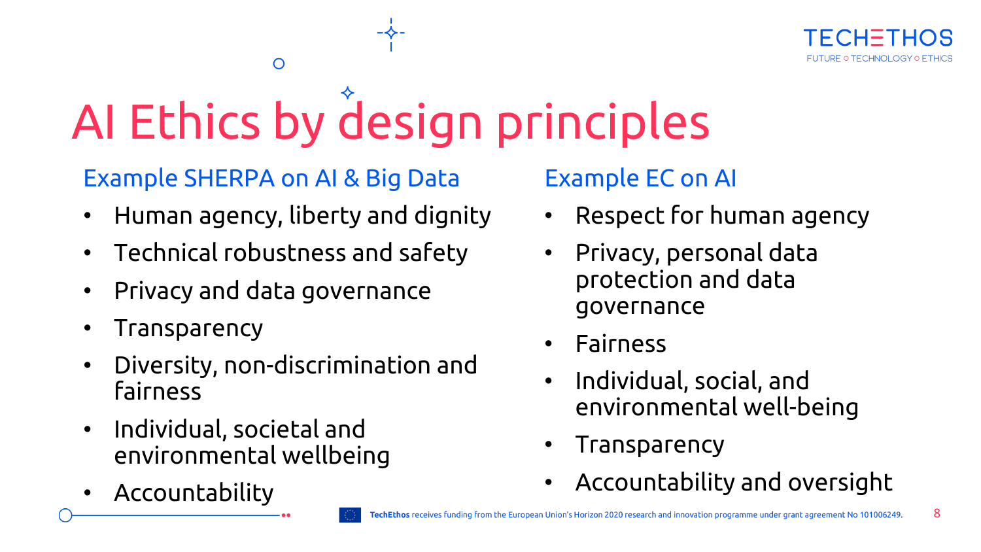8

## AI Ethics by design principles

#### Example SHERPA on AI & Big Data

 $\circ$ 

- Human agency, liberty and dignity
- Technical robustness and safety
- Privacy and data governance
- Transparency
- Diversity, non-discrimination and fairness
- Individual, societal and environmental wellbeing
- Accountability

Example EC on AI

- Respect for human agency
- Privacy, personal data protection and data governance
- Fairness
- Individual, social, and environmental well-being
- **Transparency**
- Accountability and oversight